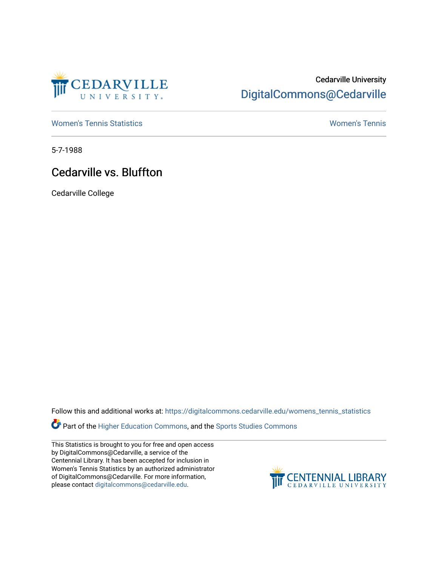

## Cedarville University [DigitalCommons@Cedarville](https://digitalcommons.cedarville.edu/)

[Women's Tennis Statistics](https://digitalcommons.cedarville.edu/womens_tennis_statistics) [Women's Tennis](https://digitalcommons.cedarville.edu/womens_tennis) 

5-7-1988

## Cedarville vs. Bluffton

Cedarville College

Follow this and additional works at: [https://digitalcommons.cedarville.edu/womens\\_tennis\\_statistics](https://digitalcommons.cedarville.edu/womens_tennis_statistics?utm_source=digitalcommons.cedarville.edu%2Fwomens_tennis_statistics%2F89&utm_medium=PDF&utm_campaign=PDFCoverPages) 

Part of the [Higher Education Commons,](http://network.bepress.com/hgg/discipline/1245?utm_source=digitalcommons.cedarville.edu%2Fwomens_tennis_statistics%2F89&utm_medium=PDF&utm_campaign=PDFCoverPages) and the [Sports Studies Commons](http://network.bepress.com/hgg/discipline/1198?utm_source=digitalcommons.cedarville.edu%2Fwomens_tennis_statistics%2F89&utm_medium=PDF&utm_campaign=PDFCoverPages) 

This Statistics is brought to you for free and open access by DigitalCommons@Cedarville, a service of the Centennial Library. It has been accepted for inclusion in Women's Tennis Statistics by an authorized administrator of DigitalCommons@Cedarville. For more information, please contact [digitalcommons@cedarville.edu](mailto:digitalcommons@cedarville.edu).